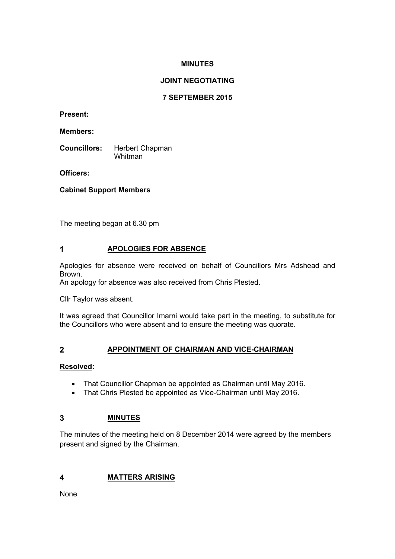## **MINUTES**

# **JOINT NEGOTIATING**

## **7 SEPTEMBER 2015**

**Present:**

**Members:**

**Councillors:** Herbert Chapman Whitman

**Officers:**

**Cabinet Support Members**

The meeting began at 6.30 pm

# **1 APOLOGIES FOR ABSENCE**

Apologies for absence were received on behalf of Councillors Mrs Adshead and Brown.

An apology for absence was also received from Chris Plested.

Cllr Taylor was absent.

It was agreed that Councillor Imarni would take part in the meeting, to substitute for the Councillors who were absent and to ensure the meeting was quorate.

## **2 APPOINTMENT OF CHAIRMAN AND VICE-CHAIRMAN**

## **Resolved:**

- That Councillor Chapman be appointed as Chairman until May 2016.
- That Chris Plested be appointed as Vice-Chairman until May 2016.

## **3 MINUTES**

The minutes of the meeting held on 8 December 2014 were agreed by the members present and signed by the Chairman.

## **4 MATTERS ARISING**

None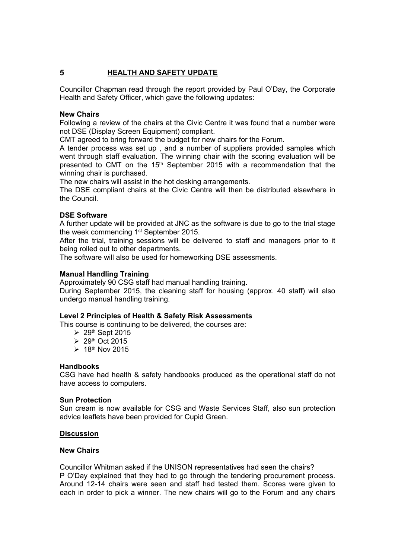# **5 HEALTH AND SAFETY UPDATE**

Councillor Chapman read through the report provided by Paul O'Day, the Corporate Health and Safety Officer, which gave the following updates:

### **New Chairs**

Following a review of the chairs at the Civic Centre it was found that a number were not DSE (Display Screen Equipment) compliant.

CMT agreed to bring forward the budget for new chairs for the Forum.

A tender process was set up , and a number of suppliers provided samples which went through staff evaluation. The winning chair with the scoring evaluation will be presented to CMT on the 15<sup>th</sup> September 2015 with a recommendation that the winning chair is purchased.

The new chairs will assist in the hot desking arrangements.

The DSE compliant chairs at the Civic Centre will then be distributed elsewhere in the Council.

### **DSE Software**

A further update will be provided at JNC as the software is due to go to the trial stage the week commencing 1<sup>st</sup> September 2015.

After the trial, training sessions will be delivered to staff and managers prior to it being rolled out to other departments.

The software will also be used for homeworking DSE assessments.

### **Manual Handling Training**

Approximately 90 CSG staff had manual handling training.

During September 2015, the cleaning staff for housing (approx. 40 staff) will also undergo manual handling training.

### **Level 2 Principles of Health & Safety Risk Assessments**

This course is continuing to be delivered, the courses are:

- $\geq 29$ <sup>th</sup> Sept 2015
- $\geq 29$ <sup>th</sup> Oct 2015
- $\geq 18$ <sup>th</sup> Nov 2015

#### **Handbooks**

CSG have had health & safety handbooks produced as the operational staff do not have access to computers.

#### **Sun Protection**

Sun cream is now available for CSG and Waste Services Staff, also sun protection advice leaflets have been provided for Cupid Green.

#### **Discussion**

### **New Chairs**

Councillor Whitman asked if the UNISON representatives had seen the chairs? P O'Day explained that they had to go through the tendering procurement process. Around 12-14 chairs were seen and staff had tested them. Scores were given to each in order to pick a winner. The new chairs will go to the Forum and any chairs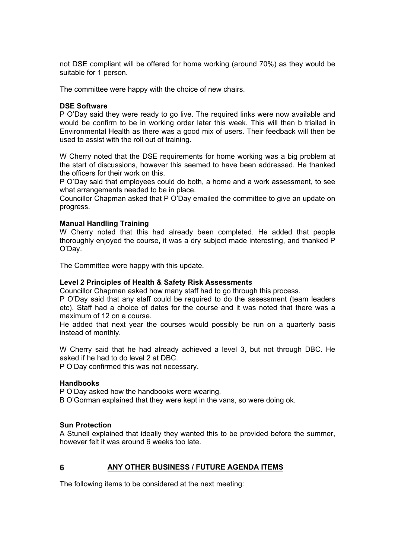not DSE compliant will be offered for home working (around 70%) as they would be suitable for 1 person.

The committee were happy with the choice of new chairs.

#### **DSE Software**

P O'Day said they were ready to go live. The required links were now available and would be confirm to be in working order later this week. This will then b trialled in Environmental Health as there was a good mix of users. Their feedback will then be used to assist with the roll out of training.

W Cherry noted that the DSE requirements for home working was a big problem at the start of discussions, however this seemed to have been addressed. He thanked the officers for their work on this.

P O'Day said that employees could do both, a home and a work assessment, to see what arrangements needed to be in place.

Councillor Chapman asked that P O'Day emailed the committee to give an update on progress.

#### **Manual Handling Training**

W Cherry noted that this had already been completed. He added that people thoroughly enjoyed the course, it was a dry subject made interesting, and thanked P O'Day.

The Committee were happy with this update.

#### **Level 2 Principles of Health & Safety Risk Assessments**

Councillor Chapman asked how many staff had to go through this process.

P O'Day said that any staff could be required to do the assessment (team leaders etc). Staff had a choice of dates for the course and it was noted that there was a maximum of 12 on a course.

He added that next year the courses would possibly be run on a quarterly basis instead of monthly.

W Cherry said that he had already achieved a level 3, but not through DBC. He asked if he had to do level 2 at DBC.

P O'Day confirmed this was not necessary.

#### **Handbooks**

P O'Day asked how the handbooks were wearing.

B O'Gorman explained that they were kept in the vans, so were doing ok.

#### **Sun Protection**

A Stunell explained that ideally they wanted this to be provided before the summer, however felt it was around 6 weeks too late.

#### **6 ANY OTHER BUSINESS / FUTURE AGENDA ITEMS**

The following items to be considered at the next meeting: